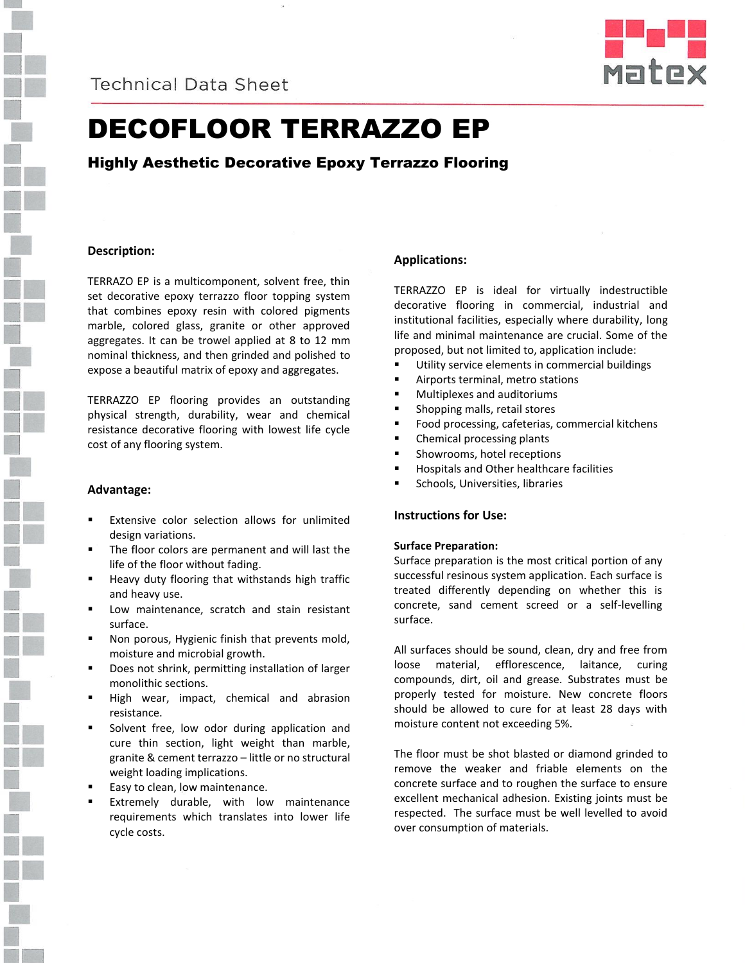



# DECOFLOOR TERRAZZO EP

# Highly Aesthetic Decorative Epoxy Terrazzo Flooring

# **Description:**

TERRAZO EP is a multicomponent, solvent free, thin set decorative epoxy terrazzo floor topping system that combines epoxy resin with colored pigments marble, colored glass, granite or other approved aggregates. It can be trowel applied at 8 to 12 mm nominal thickness, and then grinded and polished to expose a beautiful matrix of epoxy and aggregates.

TERRAZZO EP flooring provides an outstanding physical strength, durability, wear and chemical resistance decorative flooring with lowest life cycle cost of any flooring system.

#### **Advantage:**

- Extensive color selection allows for unlimited design variations.
- The floor colors are permanent and will last the life of the floor without fading.
- Heavy duty flooring that withstands high traffic and heavy use.
- Low maintenance, scratch and stain resistant surface.
- Non porous, Hygienic finish that prevents mold, moisture and microbial growth.
- Does not shrink, permitting installation of larger monolithic sections.
- High wear, impact, chemical and abrasion resistance.
- Solvent free, low odor during application and cure thin section, light weight than marble, granite & cement terrazzo – little or no structural weight loading implications.
- Easy to clean, low maintenance.
- Extremely durable, with low maintenance requirements which translates into lower life cycle costs.

# **Applications:**

TERRAZZO EP is ideal for virtually indestructible decorative flooring in commercial, industrial and institutional facilities, especially where durability, long life and minimal maintenance are crucial. Some of the proposed, but not limited to, application include:

- Utility service elements in commercial buildings
- Airports terminal, metro stations
- Multiplexes and auditoriums
- Shopping malls, retail stores
- Food processing, cafeterias, commercial kitchens
- Chemical processing plants
- Showrooms, hotel receptions
- Hospitals and Other healthcare facilities
- Schools, Universities, libraries

# **Instructions for Use:**

#### **Surface Preparation:**

Surface preparation is the most critical portion of any successful resinous system application. Each surface is treated differently depending on whether this is concrete, sand cement screed or a self-levelling surface.

All surfaces should be sound, clean, dry and free from loose material, efflorescence, laitance, curing compounds, dirt, oil and grease. Substrates must be properly tested for moisture. New concrete floors should be allowed to cure for at least 28 days with moisture content not exceeding 5%.

The floor must be shot blasted or diamond grinded to remove the weaker and friable elements on the concrete surface and to roughen the surface to ensure excellent mechanical adhesion. Existing joints must be respected. The surface must be well levelled to avoid over consumption of materials.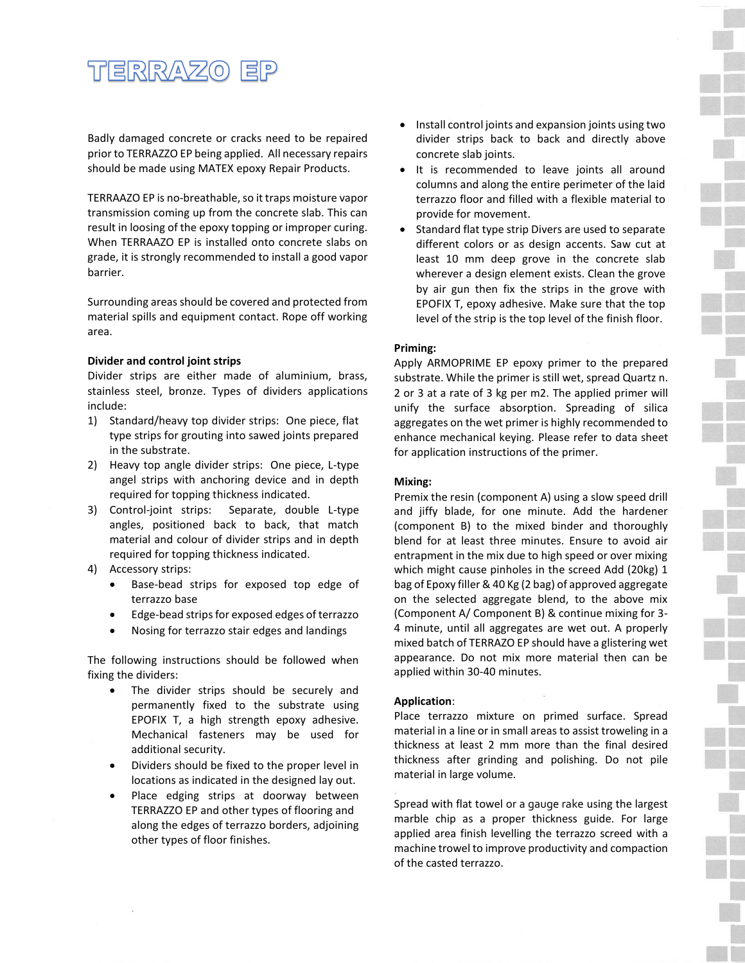# <u>TERRAZO EP</u>

Badly damaged concrete or cracks need to be repaired prior to TERRAZZO EP being applied. All necessary repairs should be made using MATEX epoxy Repair Products.

TERRAAZO EP is no-breathable, so it traps moisture vapor transmission coming up from the concrete slab. This can result in loosing of the epoxy topping or improper curing. When TERRAAZO EP is installed onto concrete slabs on grade, it is strongly recommended to install a good vapor barrier.

Surrounding areas should be covered and protected from material spills and equipment contact. Rope off working area.

### **Divider and control joint strips**

Divider strips are either made of aluminium, brass, stainless steel, bronze. Types of dividers applications include:

- 1) Standard/heavy top divider strips: One piece, flat type strips for grouting into sawed joints prepared in the substrate.
- 2) Heavy top angle divider strips: One piece, L-type angel strips with anchoring device and in depth required for topping thickness indicated.
- 3) Control-joint strips: Separate, double L-type angles, positioned back to back, that match material and colour of divider strips and in depth required for topping thickness indicated.
- 4) Accessory strips:
	- Base-bead strips for exposed top edge of terrazzo base
	- Edge-bead strips for exposed edges of terrazzo
	- Nosing for terrazzo stair edges and landings

The following instructions should be followed when fixing the dividers:

- The divider strips should be securely and permanently fixed to the substrate using EPOFIX T, a high strength epoxy adhesive. Mechanical fasteners may be used for additional security.
- Dividers should be fixed to the proper level in locations as indicated in the designed lay out.
- Place edging strips at doorway between TERRAZZO EP and other types of flooring and along the edges of terrazzo borders, adjoining other types of floor finishes.
- Install control joints and expansion joints using two divider strips back to back and directly above concrete slab joints.
- It is recommended to leave joints all around columns and along the entire perimeter of the laid terrazzo floor and filled with a flexible material to provide for movement.
- Standard flat type strip Divers are used to separate different colors or as design accents. Saw cut at least 10 mm deep grove in the concrete slab wherever a design element exists. Clean the grove by air gun then fix the strips in the grove with EPOFIX T, epoxy adhesive. Make sure that the top level of the strip is the top level of the finish floor.

# **Priming:**

Apply ARMOPRIME EP epoxy primer to the prepared substrate. While the primer is still wet, spread Quartz n. 2 or 3 at a rate of 3 kg per m2. The applied primer will unify the surface absorption. Spreading of silica aggregates on the wet primer is highly recommended to enhance mechanical keying. Please refer to data sheet for application instructions of the primer.

#### **Mixing:**

Premix the resin (component A) using a slow speed drill and jiffy blade, for one minute. Add the hardener (component B) to the mixed binder and thoroughly blend for at least three minutes. Ensure to avoid air entrapment in the mix due to high speed or over mixing which might cause pinholes in the screed Add (20kg) 1 bag of Epoxy filler & 40 Kg (2 bag) of approved aggregate on the selected aggregate blend, to the above mix (Component A/ Component B) & continue mixing for 3- 4 minute, until all aggregates are wet out. A properly mixed batch of TERRAZO EP should have a glistering wet appearance. Do not mix more material then can be applied within 30-40 minutes.

# **Application**:

Place terrazzo mixture on primed surface. Spread material in a line or in small areas to assist troweling in a thickness at least 2 mm more than the final desired thickness after grinding and polishing. Do not pile material in large volume.

Spread with flat towel or a gauge rake using the largest marble chip as a proper thickness guide. For large applied area finish levelling the terrazzo screed with a machine trowel to improve productivity and compaction of the casted terrazzo.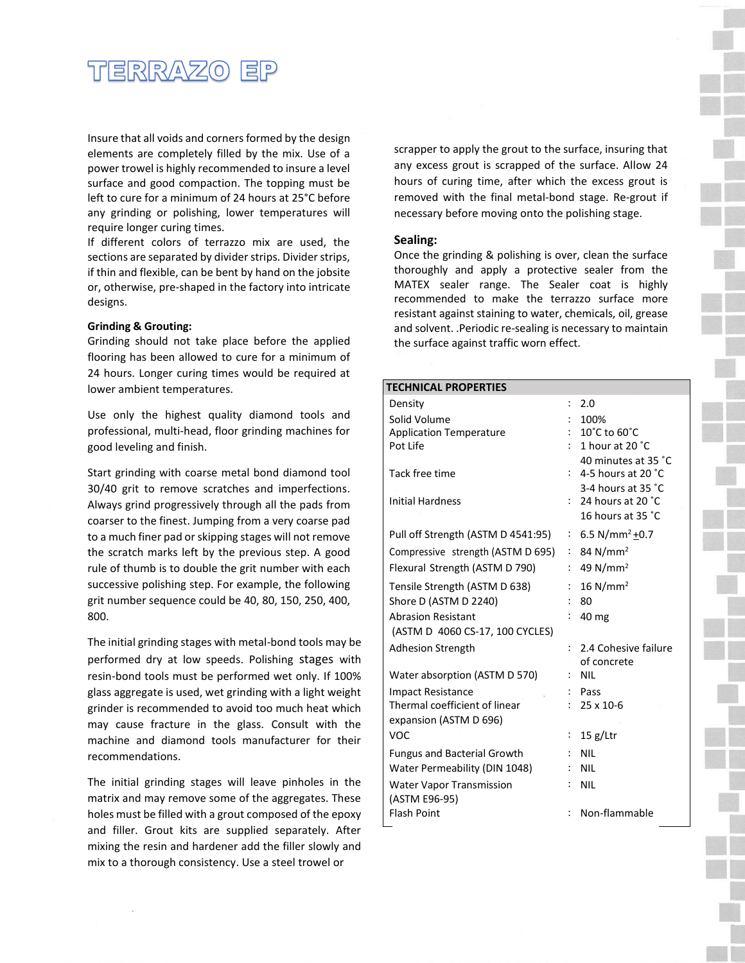

Insure that all voids and corners formed by the design elements are completely filled by the mix. Use of a power trowel is highly recommended to insure a level surface and good compaction. The topping must be left to cure for a minimum of 24 hours at 25°C before any grinding or polishing, lower temperatures will require longer curing times.

If different colors of terrazzo mix are used, the sections are separated by divider strips. Divider strips, if thin and flexible, can be bent by hand on the jobsite or, otherwise, pre-shaped in the factory into intricate designs.

#### **Grinding & Grouting:**

Grinding should not take place before the applied flooring has been allowed to cure for a minimum of 24 hours. Longer curing times would be required at lower ambient temperatures.

Use only the highest quality diamond tools and professional, multi-head, floor grinding machines for good leveling and finish.

Start grinding with coarse metal bond diamond tool 30/40 grit to remove scratches and imperfections. Always grind progressively through all the pads from coarser to the finest. Jumping from a very coarse pad to a much finer pad or skipping stages will not remove the scratch marks left by the previous step. A good rule of thumb is to double the grit number with each successive polishing step. For example, the following grit number sequence could be 40, 80, 150, 250, 400, 800.

The initial grinding stages with metal-bond tools may be performed dry at low speeds. Polishing stages with resin-bond tools must be performed wet only. If 100% glass aggregate is used, wet grinding with a light weight grinder is recommended to avoid too much heat which may cause fracture in the glass. Consult with the machine and diamond tools manufacturer for their recommendations.

The initial grinding stages will leave pinholes in the matrix and may remove some of the aggregates. These holes must be filled with a grout composed of the epoxy and filler. Grout kits are supplied separately. After mixing the resin and hardener add the filler slowly and mix to a thorough consistency. Use a steel trowel or

scrapper to apply the grout to the surface, insuring that any excess grout is scrapped of the surface. Allow 24 hours of curing time, after which the excess grout is removed with the final metal-bond stage. Re-grout if necessary before moving onto the polishing stage.

#### **Sealing:**

Once the grinding & polishing is over, clean the surface thoroughly and apply a protective sealer from the MATEX sealer range. The Sealer coat is highly recommended to make the terrazzo surface more resistant against staining to water, chemicals, oil, grease and solvent. .Periodic re-sealing is necessary to maintain the surface against traffic worn effect.

| <b>TECHNICAL PROPERTIES</b>        |                      |                                                                             |  |  |  |
|------------------------------------|----------------------|-----------------------------------------------------------------------------|--|--|--|
| Density                            | $\ddot{\phantom{a}}$ | 2.0                                                                         |  |  |  |
| Solid Volume                       |                      | 100%                                                                        |  |  |  |
| <b>Application Temperature</b>     |                      | 10°C to 60°C                                                                |  |  |  |
| Pot Life                           |                      | 1 hour at 20 °C                                                             |  |  |  |
| Tack free time                     |                      | 40 minutes at 35 °C<br>4-5 hours at 20 $^{\circ}$ C<br>3-4 hours at $35 °C$ |  |  |  |
| <b>Initial Hardness</b>            |                      | : 24 hours at 20 $^{\circ}$ C<br>16 hours at 35 °C                          |  |  |  |
| Pull off Strength (ASTM D 4541:95) | ۰.                   | 6.5 N/mm <sup>2</sup> + 0.7                                                 |  |  |  |
| Compressive strength (ASTM D 695)  |                      | : 84 N/mm <sup>2</sup>                                                      |  |  |  |
| Flexural Strength (ASTM D 790)     | ÷                    | 49 $N/mm2$                                                                  |  |  |  |
| Tensile Strength (ASTM D 638)      | ÷                    | $16$ N/mm <sup>2</sup>                                                      |  |  |  |
| Shore D (ASTM D 2240)              |                      | 80                                                                          |  |  |  |
| <b>Abrasion Resistant</b>          |                      | 40 mg                                                                       |  |  |  |
| (ASTM D 4060 CS-17, 100 CYCLES)    |                      |                                                                             |  |  |  |
| <b>Adhesion Strength</b>           |                      | 2.4 Cohesive failure                                                        |  |  |  |
|                                    |                      | of concrete                                                                 |  |  |  |
| Water absorption (ASTM D 570)      |                      | <b>NIL</b>                                                                  |  |  |  |
| <b>Impact Resistance</b>           |                      | Pass                                                                        |  |  |  |
| Thermal coefficient of linear      |                      | $25 \times 10 - 6$                                                          |  |  |  |
| expansion (ASTM D 696)             |                      |                                                                             |  |  |  |
| VOC                                | $\vdots$             | $15 g/L$ tr                                                                 |  |  |  |
| <b>Fungus and Bacterial Growth</b> |                      | NII                                                                         |  |  |  |
| Water Permeability (DIN 1048)      |                      | <b>NIL</b>                                                                  |  |  |  |
| <b>Water Vapor Transmission</b>    |                      | <b>NIL</b>                                                                  |  |  |  |
| (ASTM E96-95)                      |                      |                                                                             |  |  |  |
| <b>Flash Point</b>                 |                      | Non-flammable                                                               |  |  |  |